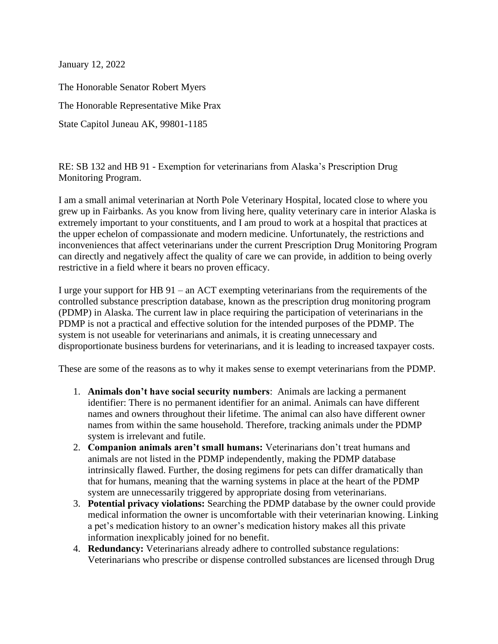January 12, 2022

The Honorable Senator Robert Myers The Honorable Representative Mike Prax State Capitol Juneau AK, 99801-1185

RE: SB 132 and HB 91 - Exemption for veterinarians from Alaska's Prescription Drug Monitoring Program.

I am a small animal veterinarian at North Pole Veterinary Hospital, located close to where you grew up in Fairbanks. As you know from living here, quality veterinary care in interior Alaska is extremely important to your constituents, and I am proud to work at a hospital that practices at the upper echelon of compassionate and modern medicine. Unfortunately, the restrictions and inconveniences that affect veterinarians under the current Prescription Drug Monitoring Program can directly and negatively affect the quality of care we can provide, in addition to being overly restrictive in a field where it bears no proven efficacy.

I urge your support for HB 91 – an ACT exempting veterinarians from the requirements of the controlled substance prescription database, known as the prescription drug monitoring program (PDMP) in Alaska. The current law in place requiring the participation of veterinarians in the PDMP is not a practical and effective solution for the intended purposes of the PDMP. The system is not useable for veterinarians and animals, it is creating unnecessary and disproportionate business burdens for veterinarians, and it is leading to increased taxpayer costs.

These are some of the reasons as to why it makes sense to exempt veterinarians from the PDMP.

- 1. **Animals don't have social security numbers**: Animals are lacking a permanent identifier: There is no permanent identifier for an animal. Animals can have different names and owners throughout their lifetime. The animal can also have different owner names from within the same household. Therefore, tracking animals under the PDMP system is irrelevant and futile.
- 2. **Companion animals aren't small humans:** Veterinarians don't treat humans and animals are not listed in the PDMP independently, making the PDMP database intrinsically flawed. Further, the dosing regimens for pets can differ dramatically than that for humans, meaning that the warning systems in place at the heart of the PDMP system are unnecessarily triggered by appropriate dosing from veterinarians.
- 3. **Potential privacy violations:** Searching the PDMP database by the owner could provide medical information the owner is uncomfortable with their veterinarian knowing. Linking a pet's medication history to an owner's medication history makes all this private information inexplicably joined for no benefit.
- 4. **Redundancy:** Veterinarians already adhere to controlled substance regulations: Veterinarians who prescribe or dispense controlled substances are licensed through Drug